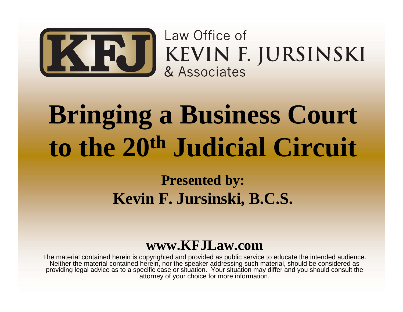

KEVIN F. JURSINSKI

# **Bringing a Business Court to the 20th Judicial Circuit**

### **Presented by: Kevin F. Jursinski, B.C.S.**

### **www.KFJLaw.com**

The material contained herein is copyrighted and provided as public service to educate the intended audience. Neither the material contained herein, nor the speaker addressing such material, should be considered as providing legal advice as to a specific case or situation. Your situation may differ and you should consult the attorney of your choice for more information.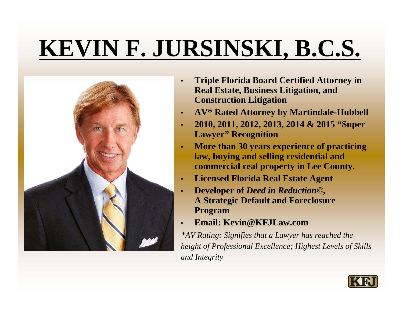# **KEVIN F. JURSINSKI, B.C.S.**



- • **Triple Florida Board Certified Attorney in Real Estate, Business Litigation, and Construction Litigation**
- •**AV\* Rated Attorney by Martindale-Hubbell**
- • **2010, 2011, 2012, 2013, 2014 & 2015 "Super Lawyer" Recognition**
- • **More than 30 years experience of practicing law, buying and selling residential and commercial real property in Lee County.**
- •**Licensed Florida Real Estate Agent**
- • **Developer of** *Deed in Reduction©,* **A Strategic Default and Foreclosure Program**
- •**Email: Kevin@KFJLaw.com**

*\*AV Rating: Signifies that a Lawyer has reached the height of Professional Excellence; Highest Levels of Skills and Integrity*

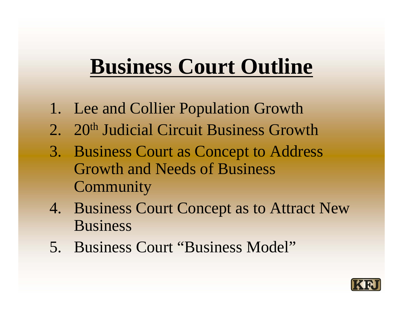### **Business Court Outline**

- 1. Lee and Collier Population Growth
- 2. 20<sup>th</sup> Judicial Circuit Business Growth
- 3. Business Court as Concept to Address Growth and Needs of Business **Community**
- 4. Business Court Concept as to Attract New Business
- 5. Business Court "Business Model"

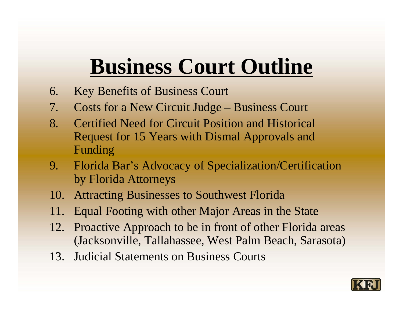### **Business Court Outline**

- 6. Key Benefits of Business Court
- 7. Costs for a New Circuit Judge Business Court
- 8. Certified Need for Circuit Position and Historical Request for 15 Years with Dismal Approvals and Funding
- 9. Florida Bar's Advocacy of Specialization/Certification by Florida Attorneys
- 10. Attracting Businesses to Southwest Florida
- 11. Equal Footing with other Major Areas in the State
- 12. Proactive Approach to be in front of other Florida areas (Jacksonville, Tallahassee, West Palm Beach, Sarasota)
- 13. Judicial Statements on Business Courts

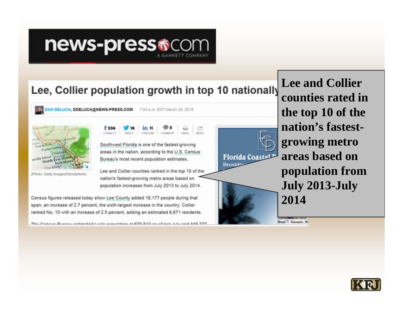### news-press<sup>®</sup>

### Lee, Collier population growth in top 10 nationally

DAN DELUCA, DDELUCA@NEWS-PRESS.COM 7:53 a.m. EDT March 26, 2015



(Photo: Getty Images/iStockphoto)

 $f236$ in 11 LINICON COMMENT TMAIL CONNECT. **TWEET** 

Southwest Florida is one of the fastest-growing areas in the nation, according to the U.S. Census Bureau's most recent population estimates.

**MORE** 

Lee and Collier counties ranked in the top 10 of the nation's fastest-growing metro areas based on population increases from July 2013 to July 2014.

Census figures released today show Lee County added 18,177 people during that span, an increase of 2.7 percent, the sixth-largest increase in the country. Collier ranked No. 10 with an increase of 2.5 percent, adding an estimated 8,671 residents.

The Cansus Dureau astimated Laa's conviction at 870 £12 as af last lub and 210 77

**Florida Coasta** Providi

**Lee and Collier** counties rated in the top 10 of the nation's fastestgrowing metro areas based on population from July 2013-July 2014

Boat T. Keygeth, W.

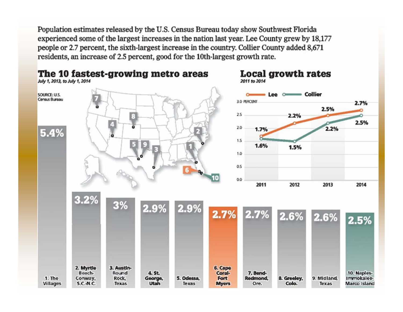Population estimates released by the U.S. Census Bureau today show Southwest Florida experienced some of the largest increases in the nation last year. Lee County grew by 18,177 people or 2.7 percent, the sixth-largest increase in the country. Collier County added 8,671 residents, an increase of 2.5 percent, good for the 10th-largest growth rate.

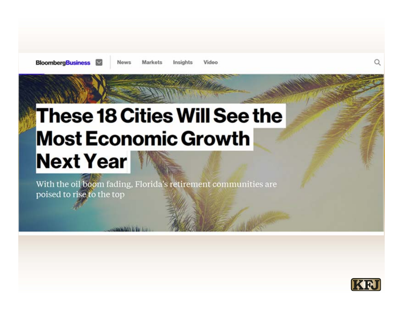**News** 

Markets

#### Video Insights

### These 18 Cities Will See the **Most Economic Growth Next Year**

With the oil boom fading, Florida's retirement communities are poised to rise to the top

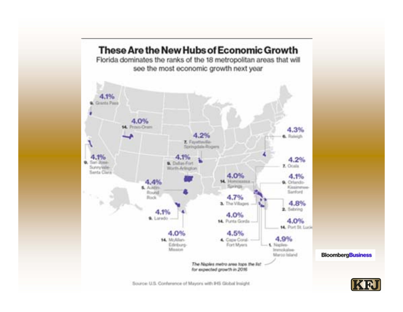

Source: U.S. Conference of Mayors with IHS Global Insight.

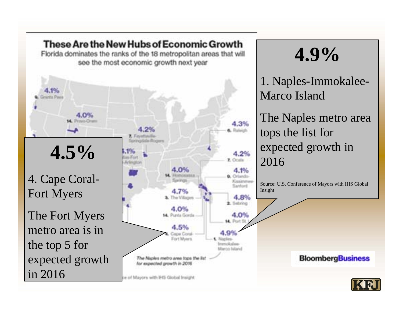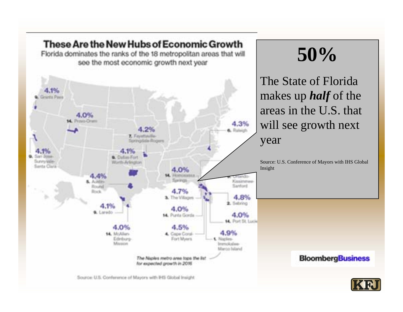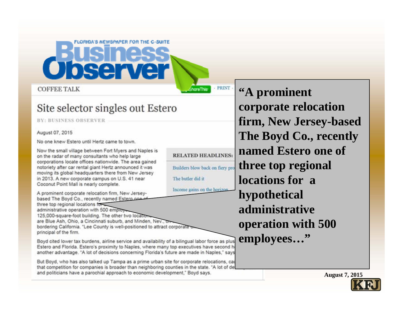**COFFEE TALK** 

#### Site selector singles out Estero

80 A

**LORIGA'S NEWSPAPER FOR THE C-SUITE** 

**BY: BUSINESS OBSERVER** 

August 07, 2015

No one knew Estero until Hertz came to town.

Now the small village between Fort Myers and Naples is on the radar of many consultants who help large corporations locate offices nationwide. The area gained notoriety after car rental giant Hertz announced it was moving its global headquarters there from New Jersey in 2013. A new corporate campus on U.S. 41 near Coconut Point Mall is nearly complete.

Income gains on the horizon A prominent corporate relocation firm, New Jerseybased The Boyd Co., recently named Estern on three top regional locations for administrative operation with 500 employ 125,000-square-foot building. The other two locatio are Blue Ash, Ohio, a Cincinnati suburb, and Minden, Nev., o bordering California. "Lee County is well-positioned to attract corporate principal of the firm.

Boyd cited lower tax burdens, airline service and availability of a bilingual labor force as plus Estero and Florida. Estero's proximity to Naples, where many top executives have second h another advantage. "A lot of decisions concerning Florida's future are made in Naples," says

But Boyd, who has also talked up Tampa as a prime urban site for corporate relocations, car that competition for companies is broader than neighboring counties in the state. "A lot of de and politicians have a parochial approach to economic development," Boyd says.

"A prominent corporate relocation firm, New Jersey-based The Boyd Co., recently named Estero one of three top regional locations for a hypothetical administrative operation with 500 employees..."

**PRINT** 

hare This

**RELATED HEADLINES:** 

Builders blow back on fiery pro

The butler did it

**August 7, 2015** 

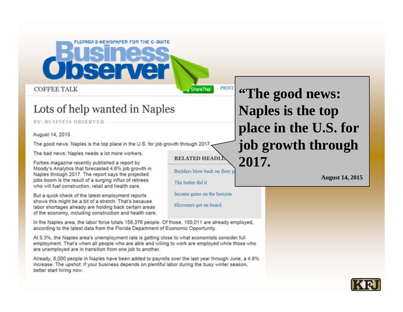#### **COFFEE TALK**

#### Lots of help wanted in Naples

sen

**BY: BUSINESS OBSERVER** 

#### August 14, 2015

The good news: Naples is the top place in the U.S. for job growth through 2017,

**LORIGA'S NEWSPAPER FOR THE C-SUITE** 

The bad news: Naples needs a lot more workers.

Forbes magazine recently published a report by Moody's Analytics that forecasted 4.6% job growth in Naples through 2017. The report says the projected jobs boom is the result of a surging influx of retirees who will fuel construction, retail and health care.

But a quick check of the latest employment reports shows this might be a bit of a stretch. That's because labor shortages already are holding back certain areas of the economy, including construction and health care.

In the Naples area, the labor force totals 158,376 people. Of those, 150,011 are already employed, according to the latest data from the Florida Department of Economic Opportunity.

At 5.3%, the Naples area's unemployment rate is getting close to what economists consider full employment. That's when all people who are able and willing to work are employed while those who are unemployed are in transition from one job to another.

Already, 6,000 people in Naples have been added to payrolls over the last year through June, a 4.8% increase. The upshot: If your business depends on plentiful labor during the busy winter season. better start hiring now.

"The good news: Naples is the top place in the U.S. for job growth through 2017.

- PRINT

**ShareThis** 

**RELATED HEADL** 

The butler did it

Builders blow back on fiery p

Income gains on the horizon

Hizzoners get on board

**August 14, 2015** 

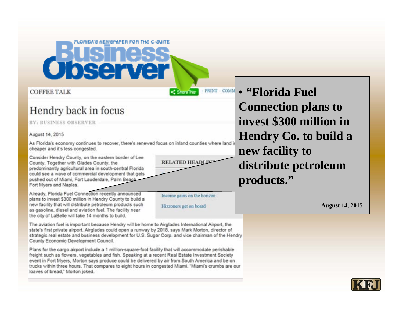# bserve

**COFFEE TALK** 

### Hendry back in focus

**BY: BUSINESS OBSERVER** 

#### August 14, 2015

As Florida's economy continues to recover, there's renewed focus on inland counties where land is cheaper and it's less congested.

**LORIGA'S NEWSPAPER FOR THE C-SUITE** 

Consider Hendry County, on the eastern border of Lee County. Together with Glades County, the predominantly agricultural area in south-central Florida could see a wave of commercial development that gets pushed out of Miami, Fort Lauderdale, Palm Beach Fort Myers and Naples.

Already, Florida Fuel Connection recently announced plans to invest \$300 million in Hendry County to build a new facility that will distribute petroleum products such as gasoline, diesel and aviation fuel. The facility near the city of LaBelle will take 14 months to build.

**RELATED HEADI** 

< ShoreThis

**PRINT - COMM** 

• "Florida Fuel **Connection plans to** invest \$300 million in **Hendry Co. to build a** new facility to distribute petroleum products."

Income gains on the horizon

Hizzoners get on board

**August 14, 2015** 

The aviation fuel is important because Hendry will be home to Airglades International Airport, the state's first private airport. Airglades could open a runway by 2018, says Mark Morton, director of strategic real estate and business development for U.S. Sugar Corp. and vice chairman of the Hendry County Economic Development Council.

Plans for the cargo airport include a 1 million-square-foot facility that will accommodate perishable freight such as flowers, vegetables and fish. Speaking at a recent Real Estate Investment Society event in Fort Myers. Morton says produce could be delivered by air from South America and be on trucks within three hours. That compares to eight hours in congested Miami, "Miami's crumbs are our loaves of bread," Morton joked.

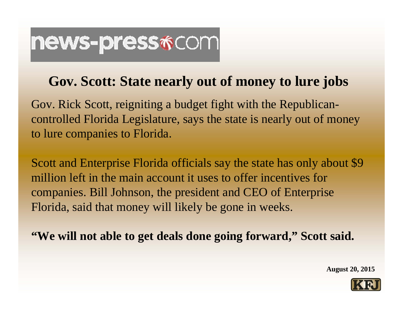### news-press\*com

### **Gov. Scott: State nearly out of money to lure jobs**

Gov. Rick Scott, reigniting a budget fight with the Republicancontrolled Florida Legislature, says the state is nearly out of money to lure companies to Florida.

Scott and Enterprise Florida officials say the state has only about \$9 million left in the main account it uses to offer incentives forcompanies. Bill Johnson, the president and CEO of Enterprise Florida, said that money will likely be gone in weeks.

**"We will not able to get deals done going forward," Scott said.**

**August 20, 2015**

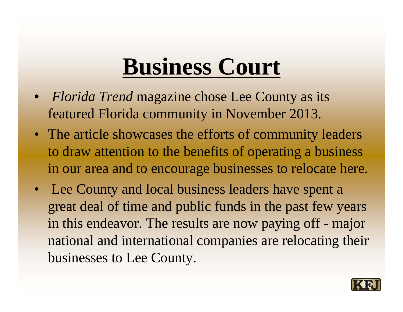### **Business Court**

- *Florida Trend* magazine chose Lee County as its featured Florida community in November 2013.
- The article showcases the efforts of community leaders to draw attention to the benefits of operating a business in our area and to encourage businesses to relocate here.
- Lee County and local business leaders have spent a great deal of time and public funds in the past few years in this endeavor. The results are now paying off - major national and international companies are relocating their businesses to Lee County.

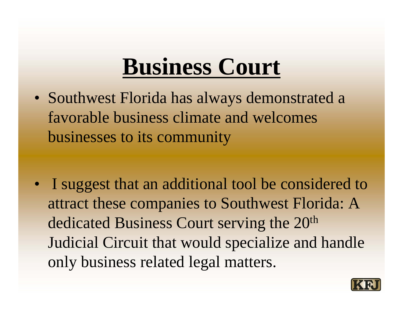### **Business Court**

- Southwest Florida has always demonstrated a favorable business climate and welcomes businesses to its community
- I suggest that an additional tool be considered to attract these companies to Southwest Florida: A dedicated Business Court serving the 20th Judicial Circuit that would specialize and handle only business related legal matters.

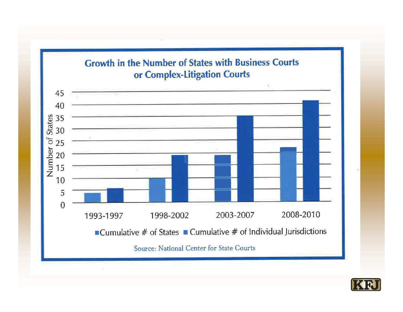

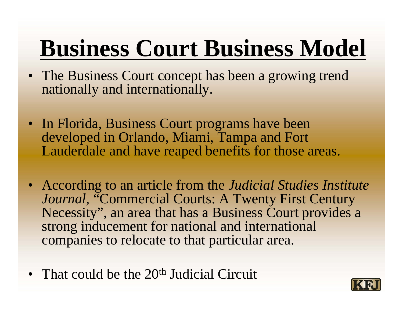# **Business Court Business Model**

- The Business Court concept has been a growing trend nationally and internationally.
- In Florida, Business Court programs have been developed in Orlando, Miami, Tampa and Fort Lauderdale and have reaped benefits for those areas.
- According to an article from the *Judicial Studies Institute Journal*, "Commercial Courts: A Twenty First Century Necessity", an area that has a Business Court provides a strong inducement for national and international companies to relocate to that particular area.
- That could be the  $20<sup>th</sup>$  Judicial Circuit

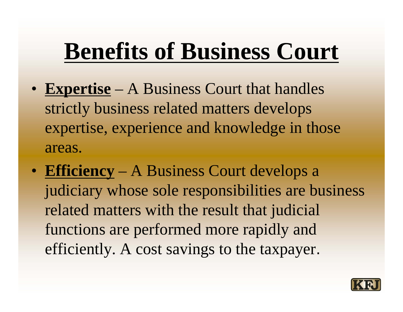# **Benefits of Business Court**

- **Expertise** A Business Court that handles strictly business related matters develops expertise, experience and knowledge in those areas.
- **Efficiency** A Business Court develops a judiciary whose sole responsibilities are business related matters with the result that judicial functions are performed more rapidly and efficiently. A cost savings to the taxpayer.

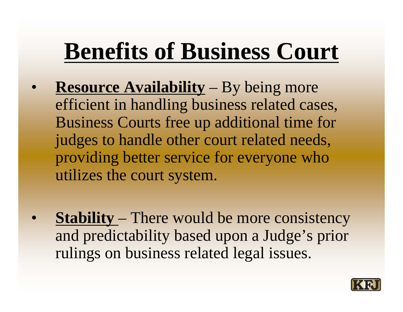## **Benefits of Business Court**

- $\bullet$  **Resource Availability** – By being more efficient in handling business related cases, Business Courts free up additional time for judges to handle other court related needs, providing better service for everyone who utilizes the court system.
- $\bullet$  **Stability** – There would be more consistency and predictability based upon a Judge's prior rulings on business related legal issues.

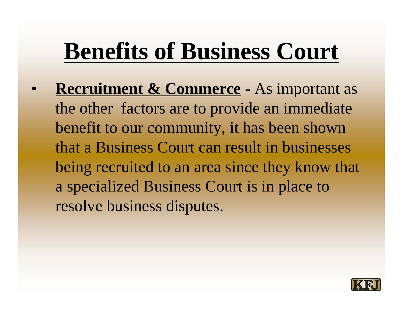## **Benefits of Business Court**

 $\bullet$  **Recruitment & Commerce** - As important as the other factors are to provide an immediate benefit to our community, it has been shown that a Business Court can result in businesses being recruited to an area since they know that a specialized Business Court is in place to resolve business disputes.

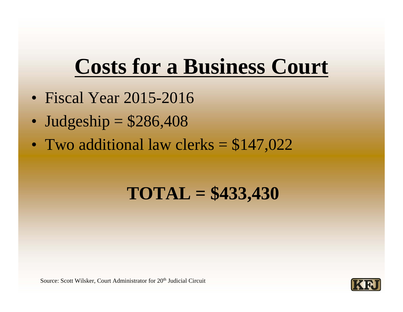### **Costs for a Business Court**

- Fiscal Year 2015-2016
- •Judgeship = \$286,408
- $\bullet$ Two additional law clerks = \$147,022

### **TOTAL = \$433,430**

Source: Scott Wilsker, Court Administrator for 20<sup>th</sup> Judicial Circuit

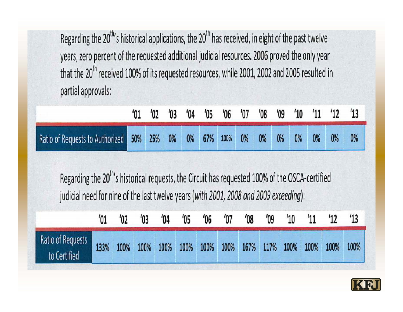Regarding the 20<sup>th</sup>'s historical applications, the 20<sup>th</sup> has received, in eight of the past twelve years, zero percent of the requested additional judicial resources. 2006 proved the only year that the 20<sup>th</sup> received 100% of its requested resources, while 2001, 2002 and 2005 resulted in partial approvals:

|                                                                             |  |  |  |  |  |  | $'01$ $'02$ $'03$ $'04$ $'05$ $'06$ $'07$ $'08$ $'09$ $'10$ $'11$ $'12$ $'13$ |
|-----------------------------------------------------------------------------|--|--|--|--|--|--|-------------------------------------------------------------------------------|
| Ratio of Requests to Authorized 50% 25% 0% 0% 67% 100% 0% 0% 0% 0% 0% 0% 0% |  |  |  |  |  |  | 0%                                                                            |

Regarding the 20<sup>th</sup>'s historical requests, the Circuit has requested 100% of the OSCA-certified judicial need for nine of the last twelve years (with 2001, 2008 and 2009 exceeding):

|                                   |      | $^{\prime}02$ | $^{\prime}$ <sub>03</sub> | $^{\prime}04$ | $^{\prime}05$ | $^{\prime}06$ | '07 | $^{\prime}08$ | $^{\prime}09$       | $^{\prime}10$ | '11  | $12^{\circ}$ | 13   |
|-----------------------------------|------|---------------|---------------------------|---------------|---------------|---------------|-----|---------------|---------------------|---------------|------|--------------|------|
| Ratio of Requests<br>to Certified | 133% | 100%          | 100%                      | 100%          | 100%          | 100%          |     |               | 100% 167% 117% 100% |               | 100% | 100%         | 100% |

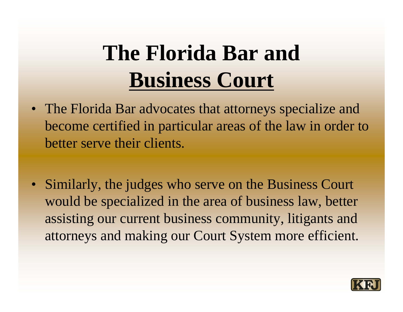### **The Florida Bar and Business Court**

- The Florida Bar advocates that attorneys specialize and become certified in particular areas of the law in order to better serve their clients.
- Similarly, the judges who serve on the Business Court would be specialized in the area of business law, better assisting our current business community, litigants and attorneys and making our Court System more efficient.

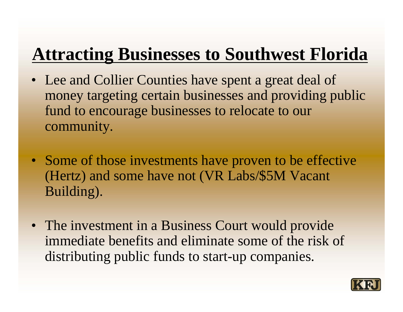### **Attracting Businesses to Southwest Florida**

- Lee and Collier Counties have spent a great deal of money targeting certain businesses and providing public fund to encourage businesses to relocate to our community.
- Some of those investments have proven to be effective (Hertz) and some have not (VR Labs/\$5M Vacant Building).
- The investment in a Business Court would provide immediate benefits and eliminate some of the risk of distributing public funds to start-up companies.

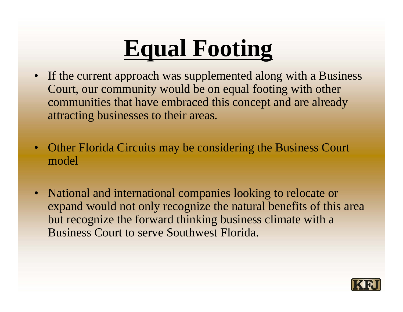# **Equal Footing**

- If the current approach was supplemented along with a Business Court, our community would be on equal footing with other communities that have embraced this concept and are already attracting businesses to their areas.
- Other Florida Circuits may be considering the Business Court model
- • National and international companies looking to relocate or expand would not only recognize the natural benefits of this area but recognize the forward thinking business climate with a Business Court to serve Southwest Florida.

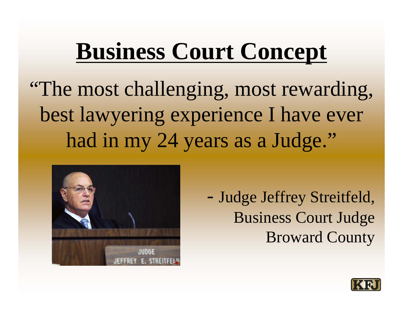## **Business Court Concept**

"The most challenging, most rewarding, best lawyering experience I have ever had in my 24 years as a Judge."



 Judge Jeffrey Streitfeld, Business Court Judge Broward County

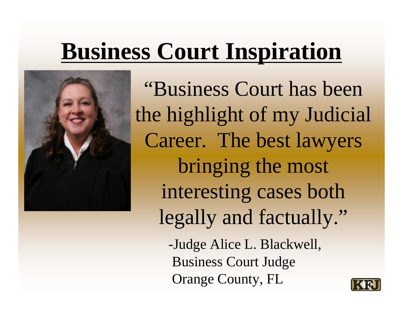# **Business Court Inspiration**



"Business Court has been the highlight of my Judicial Career. The best lawyers bringing the most interesting cases both legally and factually."

-Judge Alice L. Blackwell, Business Court Judge Orange County, FL